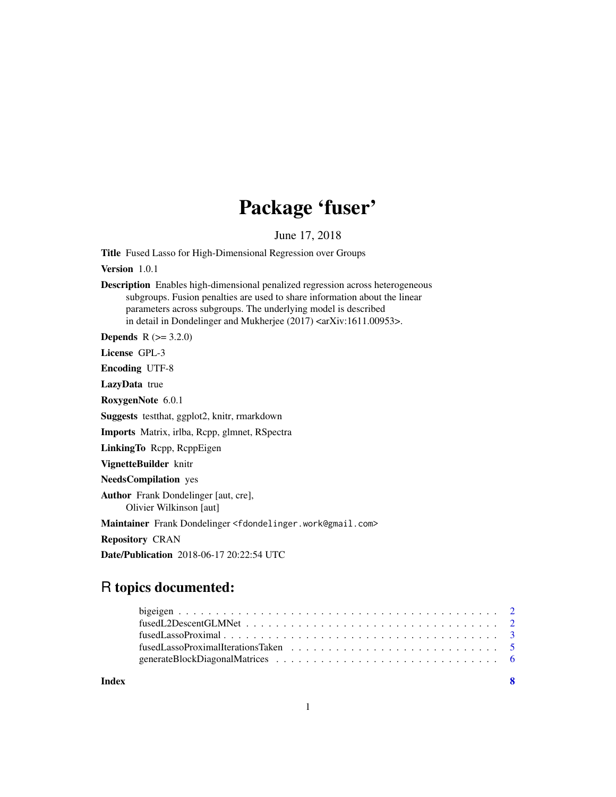# Package 'fuser'

June 17, 2018

Title Fused Lasso for High-Dimensional Regression over Groups

Version 1.0.1

Description Enables high-dimensional penalized regression across heterogeneous subgroups. Fusion penalties are used to share information about the linear parameters across subgroups. The underlying model is described in detail in Dondelinger and Mukherjee (2017) <arXiv:1611.00953>.

**Depends** R  $(>= 3.2.0)$ 

License GPL-3

Encoding UTF-8

LazyData true

RoxygenNote 6.0.1

Suggests testthat, ggplot2, knitr, rmarkdown

Imports Matrix, irlba, Rcpp, glmnet, RSpectra

LinkingTo Rcpp, RcppEigen

VignetteBuilder knitr

NeedsCompilation yes

Author Frank Dondelinger [aut, cre], Olivier Wilkinson [aut]

Maintainer Frank Dondelinger <fdondelinger.work@gmail.com>

Repository CRAN

Date/Publication 2018-06-17 20:22:54 UTC

# R topics documented:

| $fusedLassoProximal \dots \dots \dots \dots \dots \dots \dots \dots \dots \dots \dots \dots \dots \dots \dots \dots \dots$ |  |  |  |  |  |  |  |  |  |  |  |  |  |  |
|----------------------------------------------------------------------------------------------------------------------------|--|--|--|--|--|--|--|--|--|--|--|--|--|--|
|                                                                                                                            |  |  |  |  |  |  |  |  |  |  |  |  |  |  |
|                                                                                                                            |  |  |  |  |  |  |  |  |  |  |  |  |  |  |
|                                                                                                                            |  |  |  |  |  |  |  |  |  |  |  |  |  |  |

**Index** [8](#page-7-0) **8**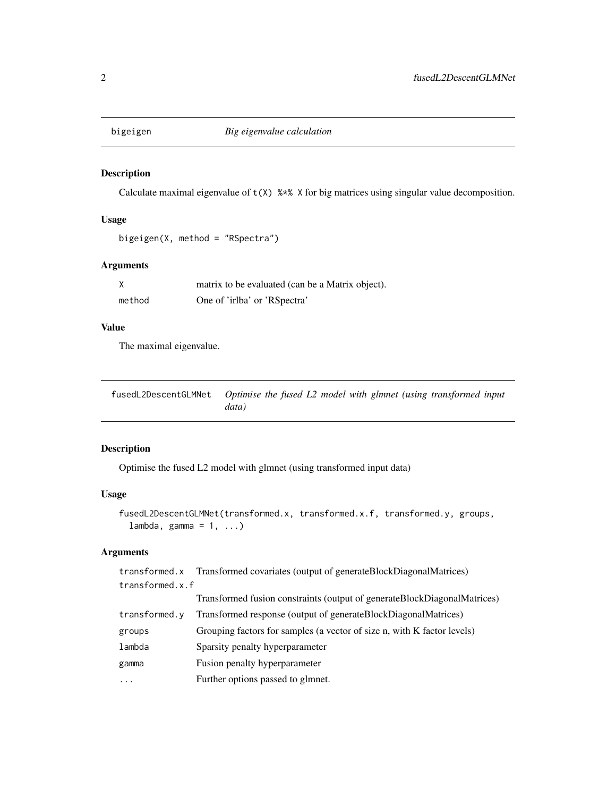<span id="page-1-0"></span>

# Description

Calculate maximal eigenvalue of  $t(X)$  %\*% X for big matrices using singular value decomposition.

# Usage

```
bigeigen(X, method = "RSpectra")
```
# Arguments

|        | matrix to be evaluated (can be a Matrix object). |
|--------|--------------------------------------------------|
| method | One of 'irlba' or 'RSpectra'                     |

# Value

The maximal eigenvalue.

| fusedL2DescentGLMNet Optimise the fused L2 model with glmnet (using transformed input |       |  |  |  |  |
|---------------------------------------------------------------------------------------|-------|--|--|--|--|
|                                                                                       | data) |  |  |  |  |

# Description

Optimise the fused L2 model with glmnet (using transformed input data)

# Usage

```
fusedL2DescentGLMNet(transformed.x, transformed.x.f, transformed.y, groups,
  lambda, gamma = 1, ...)
```
# Arguments

| transformed.x   | Transformed covariates (output of generateBlockDiagonalMatrices)            |
|-----------------|-----------------------------------------------------------------------------|
| transformed.x.f |                                                                             |
|                 | Transformed fusion constraints (output of generate Block Diagonal Matrices) |
| transformed.y   | Transformed response (output of generateBlockDiagonalMatrices)              |
| groups          | Grouping factors for samples (a vector of size n, with K factor levels)     |
| lambda          | Sparsity penalty hyperparameter                                             |
| gamma           | Fusion penalty hyperparameter                                               |
| .               | Further options passed to glmnet.                                           |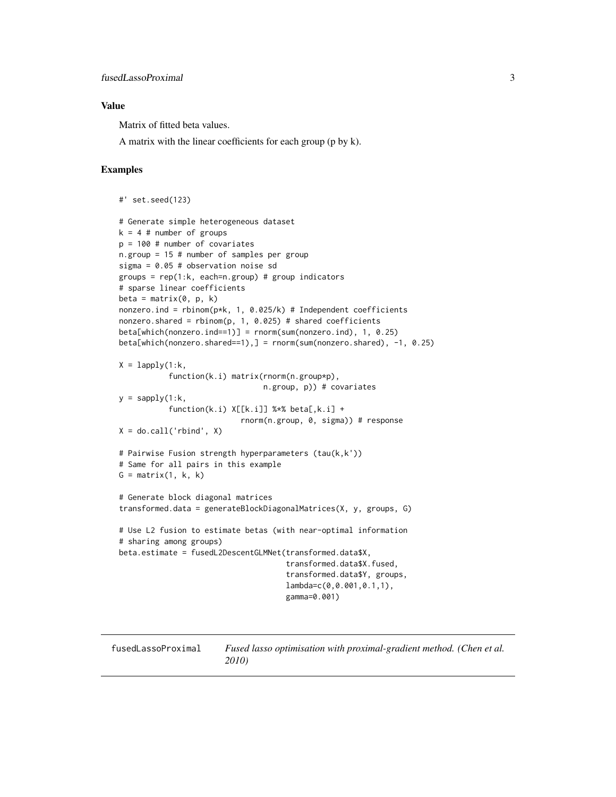#### <span id="page-2-0"></span>Value

Matrix of fitted beta values.

A matrix with the linear coefficients for each group (p by k).

#### Examples

```
#' set.seed(123)
# Generate simple heterogeneous dataset
k = 4 # number of groups
p = 100 # number of covariates
n.group = 15 # number of samples per group
sigma = 0.05 # observation noise sd
groups = rep(1:k, each=n.group) # group indicators
# sparse linear coefficients
beta = matrix(0, p, k)nonzero.ind = rbinom(p*k, 1, 0.025/k) # Independent coefficients
nonzero.shared = rbinom(p, 1, 0.025) # shared coefficients
beta[which(nonzero.ind==1)] = rnorm(sum(nonzero.ind), 1, 0.25)
beta[which(nonzero.shared==1),] = rnorm(sum(nonzero.shared), -1, 0.25)
X = \text{lapply}(1:k,function(k.i) matrix(rnorm(n.group*p),
                                n.group, p)) # covariates
y =sapply(1:k,
           function(k,i) X[[k,i]] % * beta[, k,i] +
                           rnorm(n.group, 0, sigma)) # response
X = do-call('rbind', X)# Pairwise Fusion strength hyperparameters (tau(k,k'))
# Same for all pairs in this example
G = matrix(1, k, k)# Generate block diagonal matrices
transformed.data = generateBlockDiagonalMatrices(X, y, groups, G)
# Use L2 fusion to estimate betas (with near-optimal information
# sharing among groups)
beta.estimate = fusedL2DescentGLMNet(transformed.data$X,
                                     transformed.data$X.fused,
                                     transformed.data$Y, groups,
                                     lambda=c(0,0.001,0.1,1),
                                     gamma=0.001)
```
fusedLassoProximal *Fused lasso optimisation with proximal-gradient method. (Chen et al. 2010)*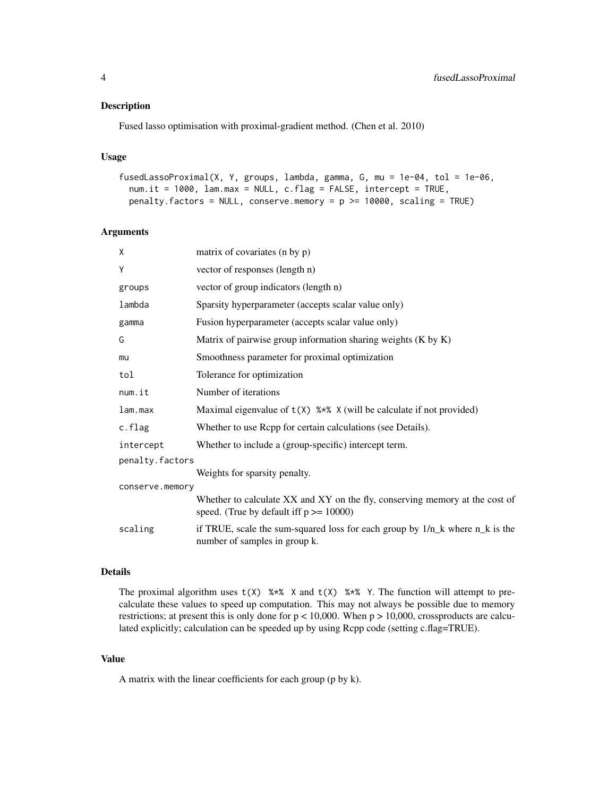#### Description

Fused lasso optimisation with proximal-gradient method. (Chen et al. 2010)

#### Usage

```
fusedLassoProximal(X, Y, groups, lambda, gamma, G, mu = 1e-04, tol = 1e-06,
 num.it = 1000, lam.max = NULL, c.flag = FALSE, intercept = TRUE,
 penalty.factors = NULL, conserve.memory = p >= 10000, scaling = TRUE)
```
#### Arguments

| X               | matrix of covariates (n by p)                                                                                              |
|-----------------|----------------------------------------------------------------------------------------------------------------------------|
| Y               | vector of responses (length n)                                                                                             |
| groups          | vector of group indicators (length n)                                                                                      |
| lambda          | Sparsity hyperparameter (accepts scalar value only)                                                                        |
| gamma           | Fusion hyperparameter (accepts scalar value only)                                                                          |
| G               | Matrix of pairwise group information sharing weights (K by K)                                                              |
| mu              | Smoothness parameter for proximal optimization                                                                             |
| tol             | Tolerance for optimization                                                                                                 |
| num.it          | Number of iterations                                                                                                       |
| lam.max         | Maximal eigenvalue of $t(X)$ % $*$ X (will be calculate if not provided)                                                   |
| c.flag          | Whether to use Rcpp for certain calculations (see Details).                                                                |
| intercept       | Whether to include a (group-specific) intercept term.                                                                      |
| penalty.factors |                                                                                                                            |
|                 | Weights for sparsity penalty.                                                                                              |
| conserve.memory |                                                                                                                            |
|                 | Whether to calculate XX and XY on the fly, conserving memory at the cost of<br>speed. (True by default iff $p \ge 10000$ ) |
| scaling         | if TRUE, scale the sum-squared loss for each group by $1/n_k$ where $n_k$ is the<br>number of samples in group k.          |

#### Details

The proximal algorithm uses  $t(X)$  %\*% X and  $t(X)$  %\*% Y. The function will attempt to precalculate these values to speed up computation. This may not always be possible due to memory restrictions; at present this is only done for  $p < 10,000$ . When  $p > 10,000$ , crossproducts are calculated explicitly; calculation can be speeded up by using Rcpp code (setting c.flag=TRUE).

#### Value

A matrix with the linear coefficients for each group (p by k).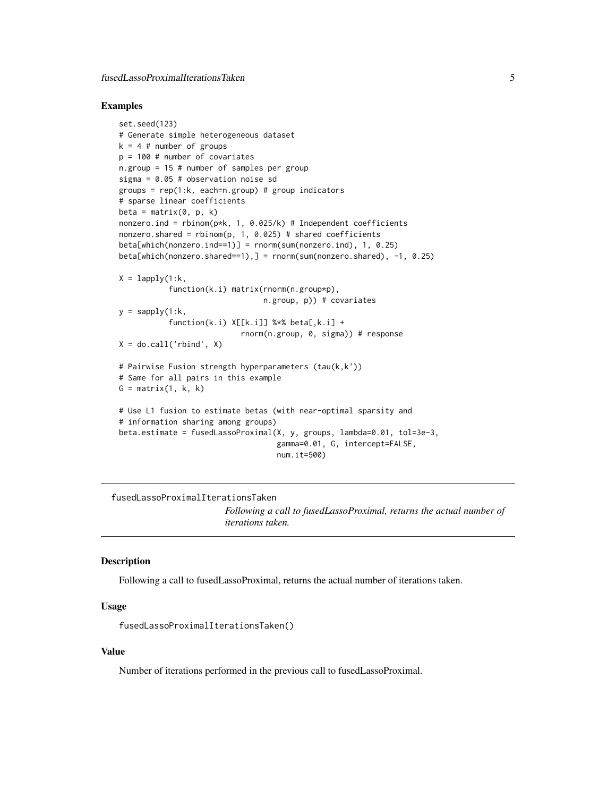#### <span id="page-4-0"></span>Examples

```
set.seed(123)
# Generate simple heterogeneous dataset
k = 4 # number of groups
p = 100 # number of covariates
n.group = 15 # number of samples per group
sigma = 0.05 # observation noise sd
groups = rep(1:k, each=n.group) # group indicators
# sparse linear coefficients
beta = matrix(0, p, k)nonzero.ind = rbinom(p*k, 1, 0.025/k) # Independent coefficients
nonzero.shared = rbinom(p, 1, 0.025) # shared coefficients
beta[which(nonzero.ind==1)] = rnorm(sum(nonzero.ind), 1, 0.25)
beta[which(nonzero.shared==1),] = rnorm(sum(nonzero.shared), -1, 0.25)
X = \text{lapply}(1:k,function(k.i) matrix(rnorm(n.group*p),
                                n.group, p)) # covariates
y =sapply(1:k,
           function(k,i) X[[k,i]] % beta[,k,i] +
                           rnorm(n.group, 0, sigma)) # response
X = do-call('rbind', X)# Pairwise Fusion strength hyperparameters (tau(k,k'))
# Same for all pairs in this example
G = matrix(1, k, k)# Use L1 fusion to estimate betas (with near-optimal sparsity and
# information sharing among groups)
beta.estimate = fusedLassoProximal(X, y, groups, lambda=0.01, tol=3e-3,
                                   gamma=0.01, G, intercept=FALSE,
                                   num.it=500)
```
fusedLassoProximalIterationsTaken *Following a call to fusedLassoProximal, returns the actual number of iterations taken.*

#### **Description**

Following a call to fusedLassoProximal, returns the actual number of iterations taken.

#### Usage

fusedLassoProximalIterationsTaken()

#### Value

Number of iterations performed in the previous call to fusedLassoProximal.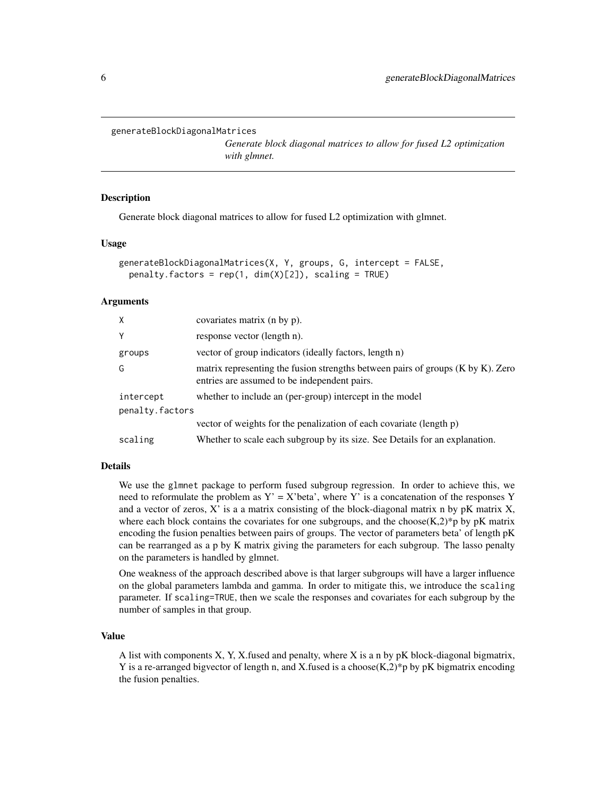```
generateBlockDiagonalMatrices
```
*Generate block diagonal matrices to allow for fused L2 optimization with glmnet.*

# **Description**

Generate block diagonal matrices to allow for fused L2 optimization with glmnet.

#### Usage

```
generateBlockDiagonalMatrices(X, Y, groups, G, intercept = FALSE,
 penalty.factors = rep(1, dim(X)[2]), scaling = TRUE)
```
#### Arguments

| X               | covariates matrix (n by p).                                                                                                          |
|-----------------|--------------------------------------------------------------------------------------------------------------------------------------|
| Y               | response vector (length n).                                                                                                          |
| groups          | vector of group indicators (ideally factors, length n)                                                                               |
| G               | matrix representing the fusion strengths between pairs of groups $(K$ by $K)$ . Zero<br>entries are assumed to be independent pairs. |
| intercept       | whether to include an (per-group) intercept in the model                                                                             |
| penalty.factors |                                                                                                                                      |
|                 | vector of weights for the penalization of each covariate (length p)                                                                  |
| scaling         | Whether to scale each subgroup by its size. See Details for an explanation.                                                          |

# Details

We use the glmnet package to perform fused subgroup regression. In order to achieve this, we need to reformulate the problem as  $Y' = X'$  beta', where Y' is a concatenation of the responses Y and a vector of zeros,  $X'$  is a a matrix consisting of the block-diagonal matrix n by pK matrix  $X$ , where each block contains the covariates for one subgroups, and the choose $(K,2)^*$ p by pK matrix encoding the fusion penalties between pairs of groups. The vector of parameters beta' of length pK can be rearranged as a p by K matrix giving the parameters for each subgroup. The lasso penalty on the parameters is handled by glmnet.

One weakness of the approach described above is that larger subgroups will have a larger influence on the global parameters lambda and gamma. In order to mitigate this, we introduce the scaling parameter. If scaling=TRUE, then we scale the responses and covariates for each subgroup by the number of samples in that group.

#### Value

A list with components X, Y, X.fused and penalty, where X is a n by pK block-diagonal bigmatrix, Y is a re-arranged bigvector of length n, and X.fused is a choose  $(K,2)^*$ p by pK bigmatrix encoding the fusion penalties.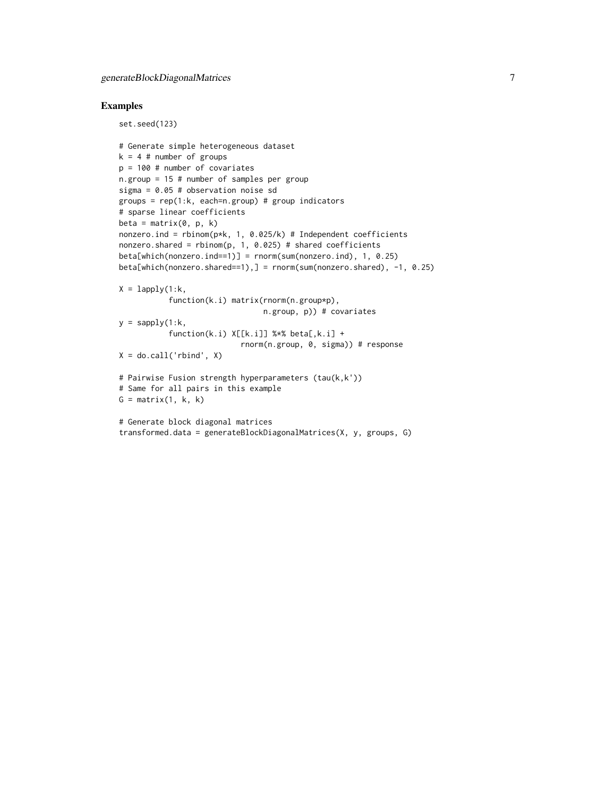set.seed(123)

#### Examples

```
# Generate simple heterogeneous dataset
k = 4 # number of groups
p = 100 # number of covariates
n.group = 15 # number of samples per group
sigma = 0.05 # observation noise sd
groups = rep(1:k, each=n.group) # group indicators
# sparse linear coefficients
beta = matrix(0, p, k)nonzero.ind = rbinom(p*k, 1, 0.025/k) # Independent coefficients
nonzero.shared = rbinom(p, 1, 0.025) # shared coefficients
beta[which(nonzero.ind==1)] = rnorm(sum(nonzero.ind), 1, 0.25)
beta[which(nonzero.shared==1),] = rnorm(sum(nonzero.shared), -1, 0.25)
X = \text{lapply}(1:k,function(k.i) matrix(rnorm(n.group*p),
                                n.group, p)) # covariates
y =sapply(1:k,
           function(k.i) X[[k.i]] %*% beta[,k.i] +
                           rnorm(n.group, 0, sigma)) # response
X = do-call('rbind', X)# Pairwise Fusion strength hyperparameters (tau(k,k'))
# Same for all pairs in this example
G = matrix(1, k, k)# Generate block diagonal matrices
transformed.data = generateBlockDiagonalMatrices(X, y, groups, G)
```